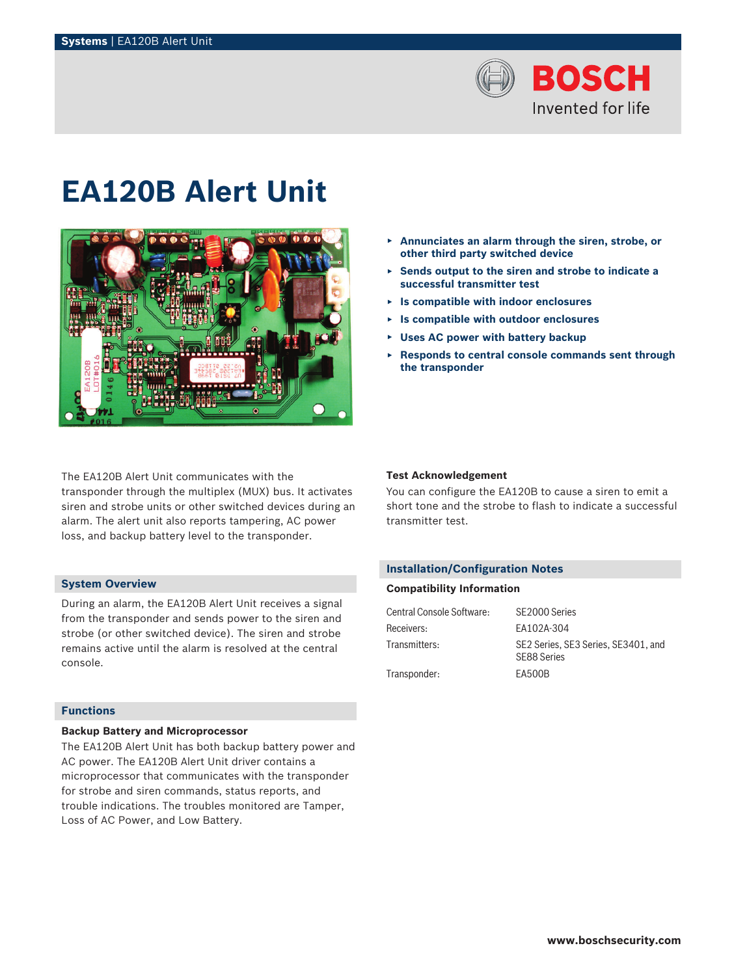

# **EA120B Alert Unit**



The EA120B Alert Unit communicates with the transponder through the multiplex (MUX) bus. It activates siren and strobe units or other switched devices during an alarm. The alert unit also reports tampering, AC power loss, and backup battery level to the transponder.

## **System Overview**

During an alarm, the EA120B Alert Unit receives a signal from the transponder and sends power to the siren and strobe (or other switched device). The siren and strobe remains active until the alarm is resolved at the central console.

# **Functions**

# **Backup Battery and Microprocessor**

The EA120B Alert Unit has both backup battery power and AC power. The EA120B Alert Unit driver contains a microprocessor that communicates with the transponder for strobe and siren commands, status reports, and trouble indications. The troubles monitored are Tamper, Loss of AC Power, and Low Battery.

- ▶ **Annunciates an alarm through the siren, strobe, or other third party switched device**
- ▶ **Sends output to the siren and strobe to indicate a successful transmitter test**
- ▶ **Is compatible with indoor enclosures**
- ▶ **Is compatible with outdoor enclosures**
- ▶ **Uses AC power with battery backup**
- ▶ **Responds to central console commands sent through the transponder**

### **Test Acknowledgement**

You can configure the EA120B to cause a siren to emit a short tone and the strobe to flash to indicate a successful transmitter test.

# **Installation/Configuration Notes**

### **Compatibility Information**

| Central Console Software: | SE2000 Series                                      |
|---------------------------|----------------------------------------------------|
| Receivers:                | FA102A-304                                         |
| Transmitters:             | SE2 Series, SE3 Series, SE3401, and<br>SE88 Series |
| Transponder:              | EA500B                                             |